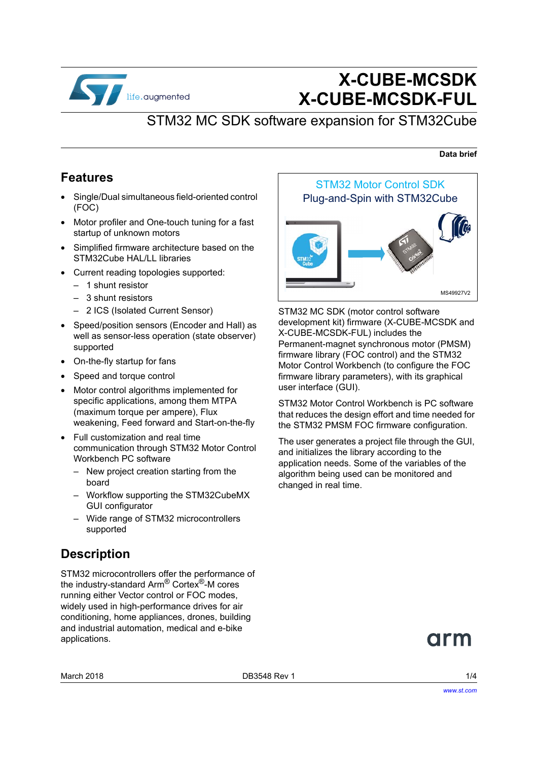

# **X-CUBE-MCSDK X-CUBE-MCSDK-FUL**

### STM32 MC SDK software expansion for STM32Cube

#### **Data brief**

### **Features**

- Single/Dual simultaneous field-oriented control (FOC)
- Motor profiler and One-touch tuning for a fast startup of unknown motors
- Simplified firmware architecture based on the STM32Cube HAL/LL libraries
- Current reading topologies supported:
	- 1 shunt resistor
	- 3 shunt resistors
	- 2 ICS (Isolated Current Sensor)
- Speed/position sensors (Encoder and Hall) as well as sensor-less operation (state observer) supported
- On-the-fly startup for fans
- Speed and torque control
- Motor control algorithms implemented for specific applications, among them MTPA (maximum torque per ampere), Flux weakening, Feed forward and Start-on-the-fly
- Full customization and real time communication through STM32 Motor Control Workbench PC software
	- New project creation starting from the board
	- Workflow supporting the STM32CubeMX GUI configurator
	- Wide range of STM32 microcontrollers supported

## **Description**

STM32 microcontrollers offer the performance of the industry-standard Arm® Cortex®-M cores running either Vector control or FOC modes, widely used in high-performance drives for air conditioning, home appliances, drones, building and industrial automation, medical and e-bike applications.



STM32 MC SDK (motor control software development kit) firmware (X-CUBE-MCSDK and X-CUBE-MCSDK-FUL) includes the Permanent-magnet synchronous motor (PMSM) firmware library (FOC control) and the STM32 Motor Control Workbench (to configure the FOC firmware library parameters), with its graphical user interface (GUI).

STM32 Motor Control Workbench is PC software that reduces the design effort and time needed for the STM32 PMSM FOC firmware configuration.

The user generates a project file through the GUI. and initializes the library according to the application needs. Some of the variables of the algorithm being used can be monitored and changed in real time.

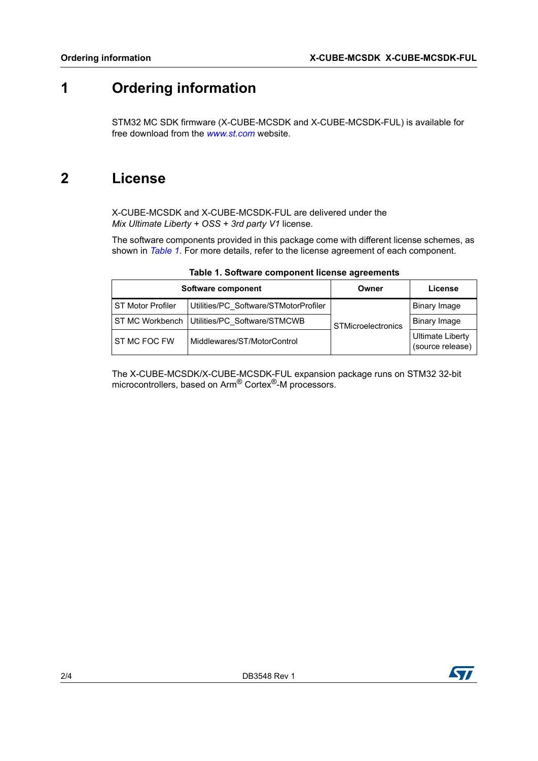# **1 Ordering information**

STM32 MC SDK firmware (X-CUBE-MCSDK and X-CUBE-MCSDK-FUL) is available for free download from the *www.st.com* website.

## **2 License**

X-CUBE-MCSDK and X-CUBE-MCSDK-FUL are delivered under the *Mix Ultimate Liberty + OSS + 3rd party V1* license.

The software components provided in this package come with different license schemes, as shown in *[Table 1](#page-1-0)*. For more details, refer to the license agreement of each component.

<span id="page-1-0"></span>

|                          | Software component                             | Owner                     | License                                     |
|--------------------------|------------------------------------------------|---------------------------|---------------------------------------------|
| <b>ST Motor Profiler</b> | Utilities/PC Software/STMotorProfiler          |                           | Binary Image                                |
|                          | ST MC Workbench   Utilities/PC Software/STMCWB | <b>STMicroelectronics</b> | <b>Binary Image</b>                         |
| <b>ST MC FOC FW</b>      | Middlewares/ST/MotorControl                    |                           | <b>Ultimate Liberty</b><br>(source release) |

**Table 1. Software component license agreements**

The X-CUBE-MCSDK/X-CUBE-MCSDK-FUL expansion package runs on STM32 32-bit microcontrollers, based on Arm® Cortex®-M processors.

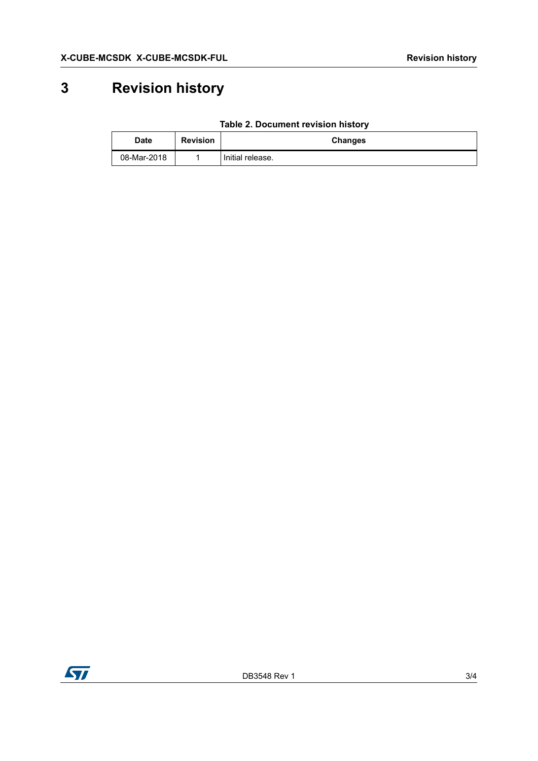# **3 Revision history**

| Date        | <b>Revision</b> | <b>Changes</b>   |  |
|-------------|-----------------|------------------|--|
| 08-Mar-2018 |                 | Initial release. |  |

### **Table 2. Document revision history**